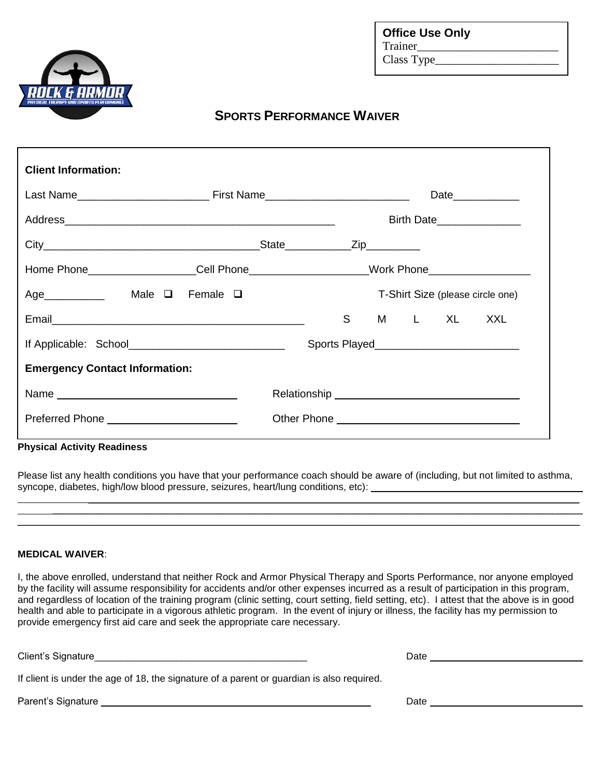

**Office Use Only** Trainer Class Type\_\_\_\_\_\_

## **SPORTS PERFORMANCE WAIVER**

| <b>Client Information:</b>                                                        |  |  |                                  |  |  |            |                                              |
|-----------------------------------------------------------------------------------|--|--|----------------------------------|--|--|------------|----------------------------------------------|
|                                                                                   |  |  | Date_____________                |  |  |            |                                              |
|                                                                                   |  |  |                                  |  |  |            | Birth Date_______________                    |
|                                                                                   |  |  |                                  |  |  |            |                                              |
| Home Phone___________________Cell Phone____________________Work Phone____________ |  |  |                                  |  |  |            |                                              |
| Age_____________ Male □ Female □                                                  |  |  | T-Shirt Size (please circle one) |  |  |            |                                              |
|                                                                                   |  |  | S                                |  |  | M L XL XXL |                                              |
|                                                                                   |  |  |                                  |  |  |            |                                              |
| <b>Emergency Contact Information:</b>                                             |  |  |                                  |  |  |            |                                              |
|                                                                                   |  |  |                                  |  |  |            |                                              |
|                                                                                   |  |  |                                  |  |  |            | Other Phone <u>contains and the property</u> |
|                                                                                   |  |  |                                  |  |  |            |                                              |

#### **Physical Activity Readiness**

Please list any health conditions you have that your performance coach should be aware of (including, but not limited to asthma, syncope, diabetes, high/low blood pressure, seizures, heart/lung conditions, etc):

\_\_\_\_\_\_\_\_\_\_\_\_\_\_\_\_\_\_\_\_\_\_\_\_\_\_\_\_\_\_\_\_\_\_\_\_\_\_\_\_\_\_\_\_\_\_\_\_\_\_\_\_\_\_\_\_\_\_\_\_\_\_\_\_\_\_\_\_\_\_\_\_\_\_\_\_\_\_\_\_\_\_\_\_\_\_\_\_\_\_\_\_\_\_\_\_\_\_\_\_\_\_\_

\_\_\_\_\_\_\_\_\_\_\_\_\_\_\_\_\_\_\_\_\_\_\_\_\_\_\_\_\_\_\_\_\_\_\_\_\_\_\_\_\_\_\_\_\_\_\_\_\_\_\_\_\_\_\_\_\_\_\_\_\_\_\_\_\_\_\_\_\_\_\_\_\_\_\_\_\_\_\_\_\_\_\_\_\_\_\_\_\_\_ \_\_\_\_\_\_\_\_\_\_\_\_\_\_\_\_\_\_\_\_\_\_\_\_\_\_\_\_\_\_\_\_\_\_\_\_\_\_\_\_\_\_\_\_\_\_\_\_\_\_\_\_\_\_\_\_\_\_\_\_\_\_\_\_\_\_\_\_\_\_\_\_\_\_\_\_\_\_\_\_\_\_\_\_\_\_\_\_\_\_\_\_\_\_\_\_\_

#### **MEDICAL WAIVER**:

I, the above enrolled, understand that neither Rock and Armor Physical Therapy and Sports Performance, nor anyone employed by the facility will assume responsibility for accidents and/or other expenses incurred as a result of participation in this program, and regardless of location of the training program (clinic setting, court setting, field setting, etc). I attest that the above is in good health and able to participate in a vigorous athletic program. In the event of injury or illness, the facility has my permission to provide emergency first aid care and seek the appropriate care necessary.

| Client's Signature                                                                        | Date |
|-------------------------------------------------------------------------------------------|------|
| If client is under the age of 18, the signature of a parent or guardian is also required. |      |
| Parent's Signature                                                                        | Date |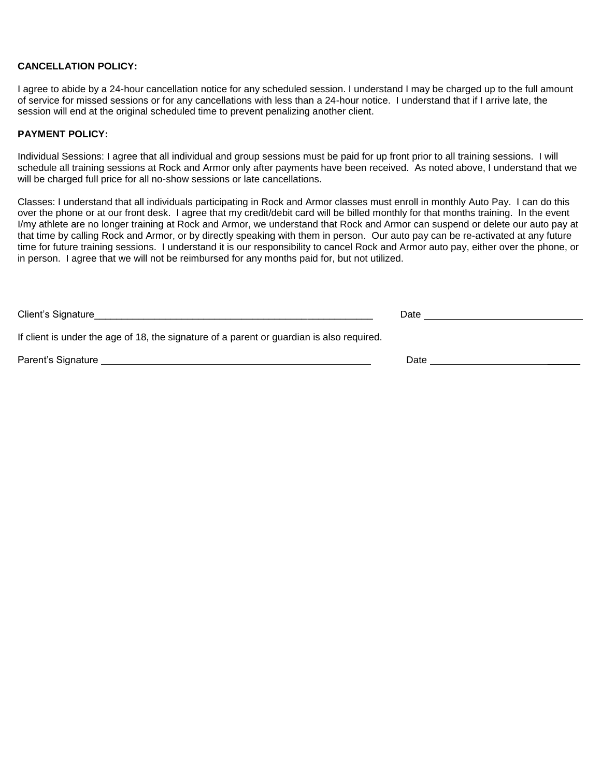### **CANCELLATION POLICY:**

I agree to abide by a 24-hour cancellation notice for any scheduled session. I understand I may be charged up to the full amount of service for missed sessions or for any cancellations with less than a 24-hour notice. I understand that if I arrive late, the session will end at the original scheduled time to prevent penalizing another client.

#### **PAYMENT POLICY:**

Individual Sessions: I agree that all individual and group sessions must be paid for up front prior to all training sessions. I will schedule all training sessions at Rock and Armor only after payments have been received. As noted above, I understand that we will be charged full price for all no-show sessions or late cancellations.

Classes: I understand that all individuals participating in Rock and Armor classes must enroll in monthly Auto Pay. I can do this over the phone or at our front desk. I agree that my credit/debit card will be billed monthly for that months training. In the event I/my athlete are no longer training at Rock and Armor, we understand that Rock and Armor can suspend or delete our auto pay at that time by calling Rock and Armor, or by directly speaking with them in person. Our auto pay can be re-activated at any future time for future training sessions. I understand it is our responsibility to cancel Rock and Armor auto pay, either over the phone, or in person. I agree that we will not be reimbursed for any months paid for, but not utilized.

| Client's Signature                                                                                                                                                                                                             | Date |
|--------------------------------------------------------------------------------------------------------------------------------------------------------------------------------------------------------------------------------|------|
| If client is under the age of 18, the signature of a parent or guardian is also required.                                                                                                                                      |      |
| Parent's Signature experience of the state of the state of the state of the state of the state of the state of the state of the state of the state of the state of the state of the state of the state of the state of the sta | Date |
|                                                                                                                                                                                                                                |      |